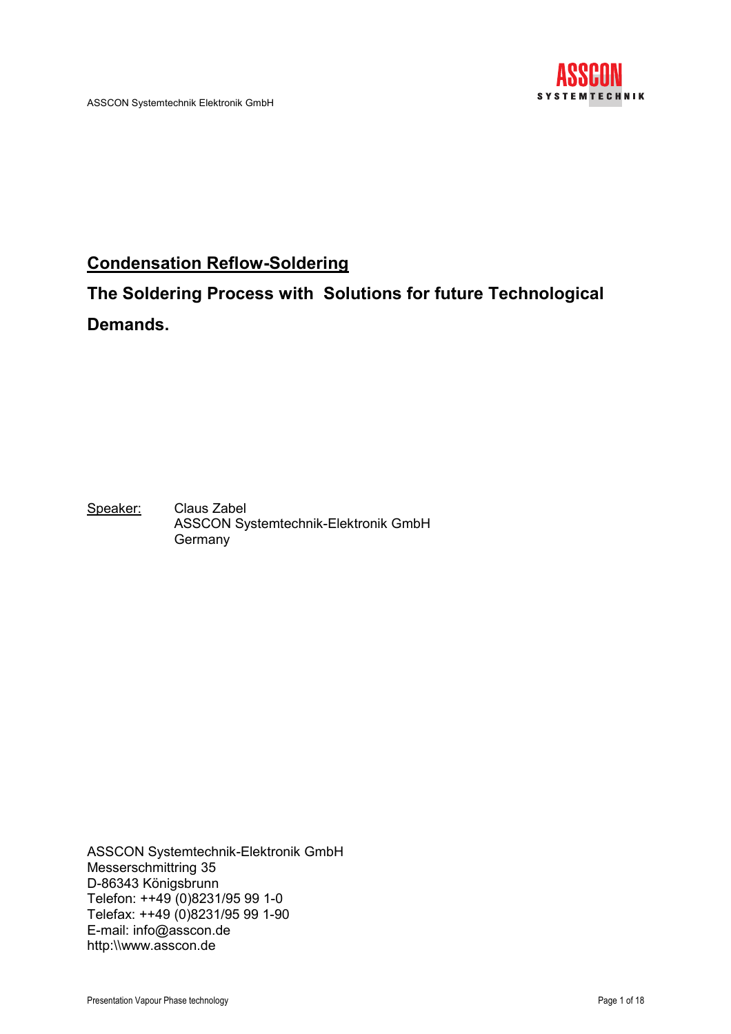

# Condensation Reflow-Soldering

# The Soldering Process with Solutions for future Technological Demands.

Speaker: Claus Zabel ASSCON Systemtechnik-Elektronik GmbH **Germany** 

ASSCON Systemtechnik-Elektronik GmbH Messerschmittring 35 D-86343 Königsbrunn Telefon: ++49 (0)8231/95 99 1-0 Telefax: ++49 (0)8231/95 99 1-90 E-mail: info@asscon.de http:\\www.asscon.de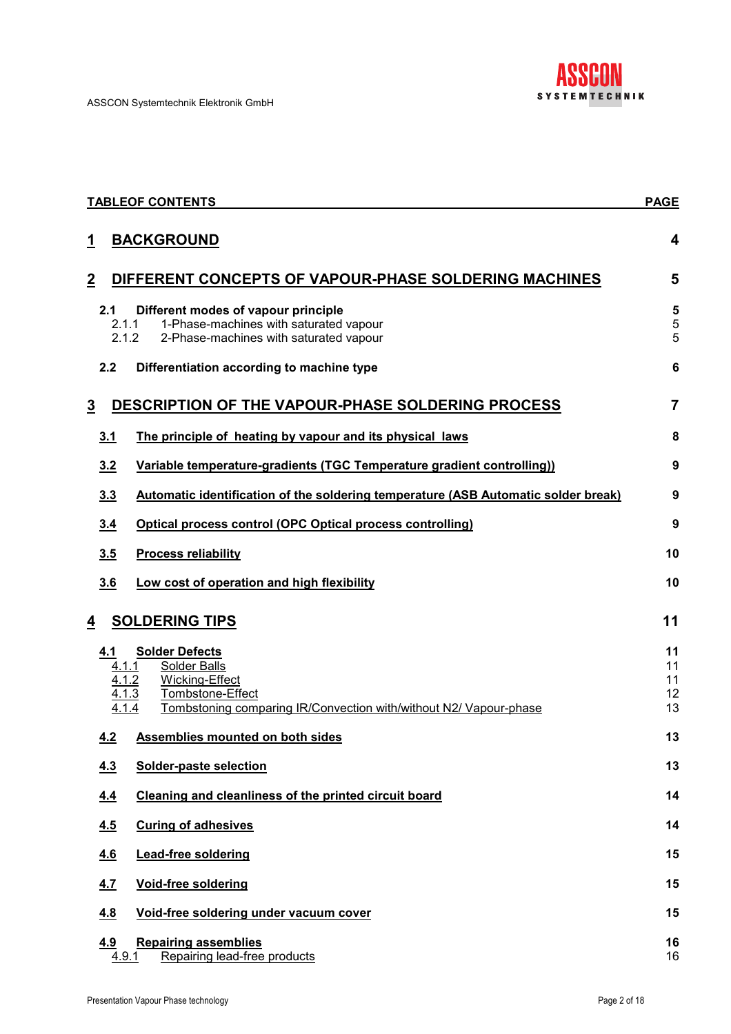

|                | <b>TABLEOF CONTENTS</b>        |                                                                                                                                                  |                            |  |  |
|----------------|--------------------------------|--------------------------------------------------------------------------------------------------------------------------------------------------|----------------------------|--|--|
| 1              |                                | <b>BACKGROUND</b>                                                                                                                                | 4                          |  |  |
| $\overline{2}$ |                                | DIFFERENT CONCEPTS OF VAPOUR-PHASE SOLDERING MACHINES                                                                                            | 5                          |  |  |
|                | 2.1<br>2.1.1<br>2.1.2          | Different modes of vapour principle<br>1-Phase-machines with saturated vapour<br>2-Phase-machines with saturated vapour                          | 5<br>5<br>5                |  |  |
|                | 2.2                            | Differentiation according to machine type                                                                                                        | $6\phantom{1}6$            |  |  |
| $\overline{3}$ |                                | DESCRIPTION OF THE VAPOUR-PHASE SOLDERING PROCESS                                                                                                | $\overline{7}$             |  |  |
|                | 3.1                            | The principle of heating by vapour and its physical laws                                                                                         | 8                          |  |  |
|                | 3.2                            | Variable temperature-gradients (TGC Temperature gradient controlling))                                                                           | 9                          |  |  |
|                | 3.3                            | Automatic identification of the soldering temperature (ASB Automatic solder break)                                                               | 9                          |  |  |
|                | 3.4                            | <b>Optical process control (OPC Optical process controlling)</b>                                                                                 | 9                          |  |  |
|                | 3.5                            | <b>Process reliability</b>                                                                                                                       | 10                         |  |  |
|                | 3.6                            | Low cost of operation and high flexibility                                                                                                       | 10                         |  |  |
| 4              |                                | <b>SOLDERING TIPS</b>                                                                                                                            | 11                         |  |  |
|                | 4.1<br>4.1.1<br>4.1.2<br>4.1.3 | <b>Solder Defects</b><br>Solder Balls<br>Wicking-Effect<br>Tombstone-Effect<br>Tombstoning comparing IR/Convection with/without N2/ Vapour-phase | 11<br>11<br>11<br>12<br>13 |  |  |
|                | 4.2                            | Assemblies mounted on both sides                                                                                                                 | 13                         |  |  |
|                | 4.3                            | Solder-paste selection                                                                                                                           | 13                         |  |  |
|                | 4.4                            | Cleaning and cleanliness of the printed circuit board                                                                                            | 14                         |  |  |
|                | 4.5                            | <b>Curing of adhesives</b>                                                                                                                       | 14                         |  |  |
|                | 4.6                            | <b>Lead-free soldering</b>                                                                                                                       | 15                         |  |  |
|                | 4.7                            | Void-free soldering                                                                                                                              | 15                         |  |  |
|                | 4.8                            | Void-free soldering under vacuum cover                                                                                                           | 15                         |  |  |
|                | <u>4.9</u><br>4.9.1            | <b>Repairing assemblies</b><br>Repairing lead-free products                                                                                      | 16<br>16                   |  |  |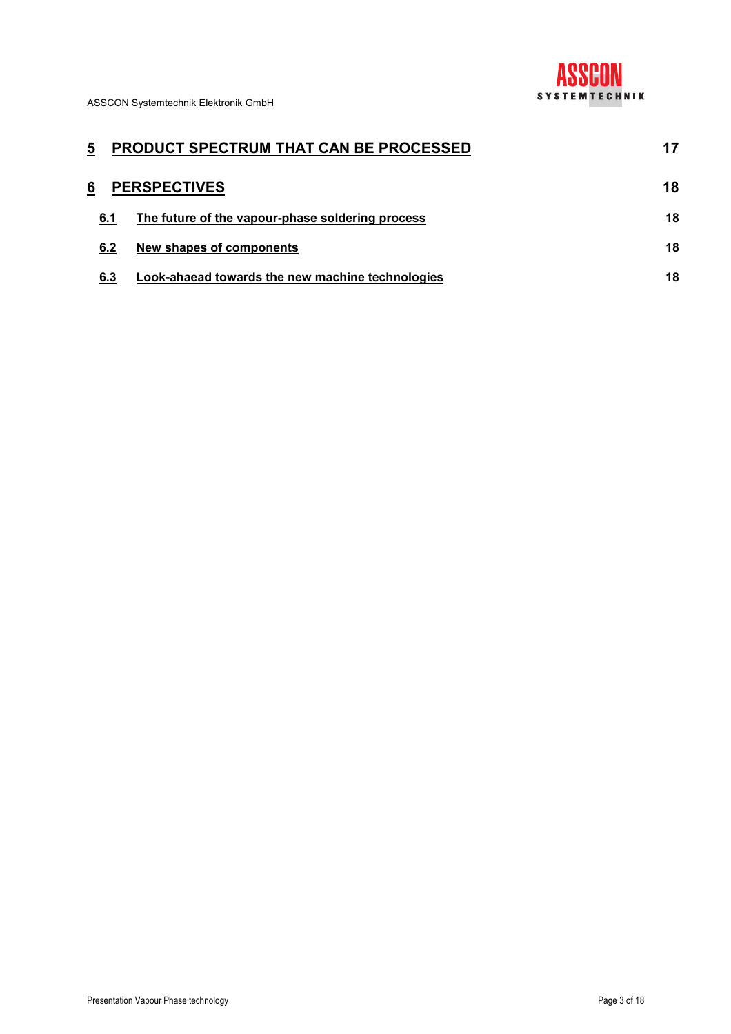

| 5   | <b>PRODUCT SPECTRUM THAT CAN BE PROCESSED</b>    | 17 |
|-----|--------------------------------------------------|----|
| 6   | <b>PERSPECTIVES</b>                              | 18 |
| 6.1 | The future of the vapour-phase soldering process | 18 |
| 6.2 | New shapes of components                         | 18 |
| 6.3 | Look-ahaead towards the new machine technologies | 18 |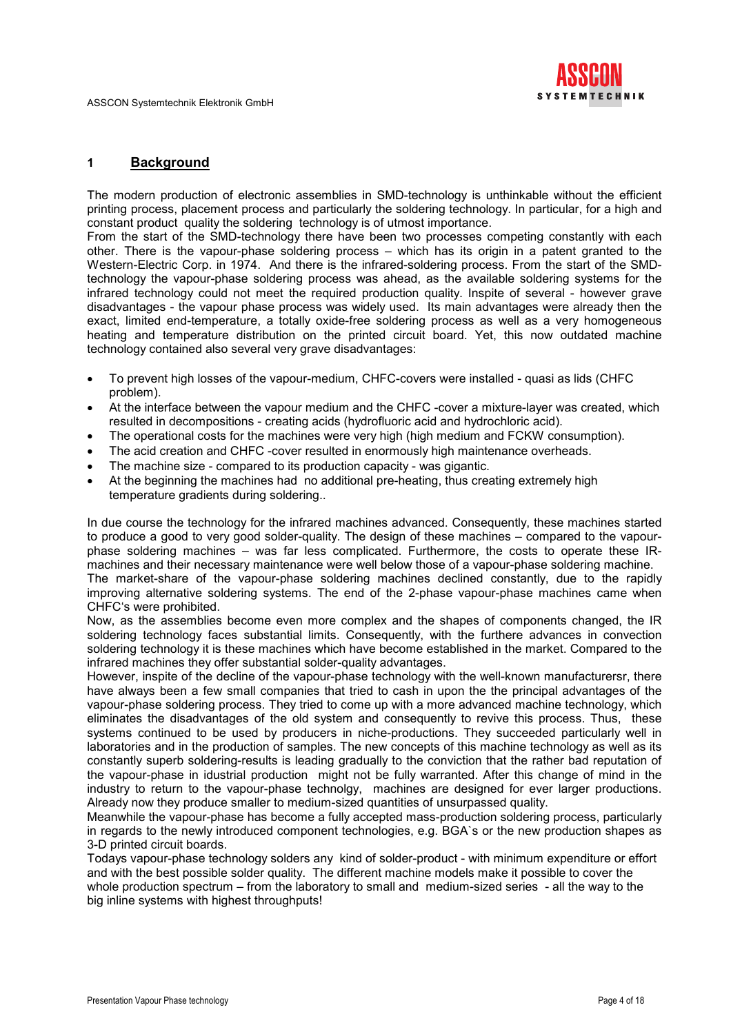

## 1 Background

The modern production of electronic assemblies in SMD-technology is unthinkable without the efficient printing process, placement process and particularly the soldering technology. In particular, for a high and constant product quality the soldering technology is of utmost importance.

From the start of the SMD-technology there have been two processes competing constantly with each other. There is the vapour-phase soldering process – which has its origin in a patent granted to the Western-Electric Corp. in 1974. And there is the infrared-soldering process. From the start of the SMDtechnology the vapour-phase soldering process was ahead, as the available soldering systems for the infrared technology could not meet the required production quality. Inspite of several - however grave disadvantages - the vapour phase process was widely used. Its main advantages were already then the exact, limited end-temperature, a totally oxide-free soldering process as well as a very homogeneous heating and temperature distribution on the printed circuit board. Yet, this now outdated machine technology contained also several very grave disadvantages:

- To prevent high losses of the vapour-medium, CHFC-covers were installed quasi as lids (CHFC problem).
- At the interface between the vapour medium and the CHFC -cover a mixture-layer was created, which resulted in decompositions - creating acids (hydrofluoric acid and hydrochloric acid).
- The operational costs for the machines were very high (high medium and FCKW consumption).
- The acid creation and CHFC -cover resulted in enormously high maintenance overheads.
- The machine size compared to its production capacity was gigantic.
- At the beginning the machines had no additional pre-heating, thus creating extremely high temperature gradients during soldering..

In due course the technology for the infrared machines advanced. Consequently, these machines started to produce a good to very good solder-quality. The design of these machines – compared to the vapourphase soldering machines – was far less complicated. Furthermore, the costs to operate these IRmachines and their necessary maintenance were well below those of a vapour-phase soldering machine. The market-share of the vapour-phase soldering machines declined constantly, due to the rapidly

improving alternative soldering systems. The end of the 2-phase vapour-phase machines came when CHFC's were prohibited.

Now, as the assemblies become even more complex and the shapes of components changed, the IR soldering technology faces substantial limits. Consequently, with the furthere advances in convection soldering technology it is these machines which have become established in the market. Compared to the infrared machines they offer substantial solder-quality advantages.

However, inspite of the decline of the vapour-phase technology with the well-known manufacturersr, there have always been a few small companies that tried to cash in upon the the principal advantages of the vapour-phase soldering process. They tried to come up with a more advanced machine technology, which eliminates the disadvantages of the old system and consequently to revive this process. Thus, these systems continued to be used by producers in niche-productions. They succeeded particularly well in laboratories and in the production of samples. The new concepts of this machine technology as well as its constantly superb soldering-results is leading gradually to the conviction that the rather bad reputation of the vapour-phase in idustrial production might not be fully warranted. After this change of mind in the industry to return to the vapour-phase technolgy, machines are designed for ever larger productions. Already now they produce smaller to medium-sized quantities of unsurpassed quality.

Meanwhile the vapour-phase has become a fully accepted mass-production soldering process, particularly in regards to the newly introduced component technologies, e.g. BGA`s or the new production shapes as 3-D printed circuit boards.

Todays vapour-phase technology solders any kind of solder-product - with minimum expenditure or effort and with the best possible solder quality. The different machine models make it possible to cover the whole production spectrum – from the laboratory to small and medium-sized series - all the way to the big inline systems with highest throughputs!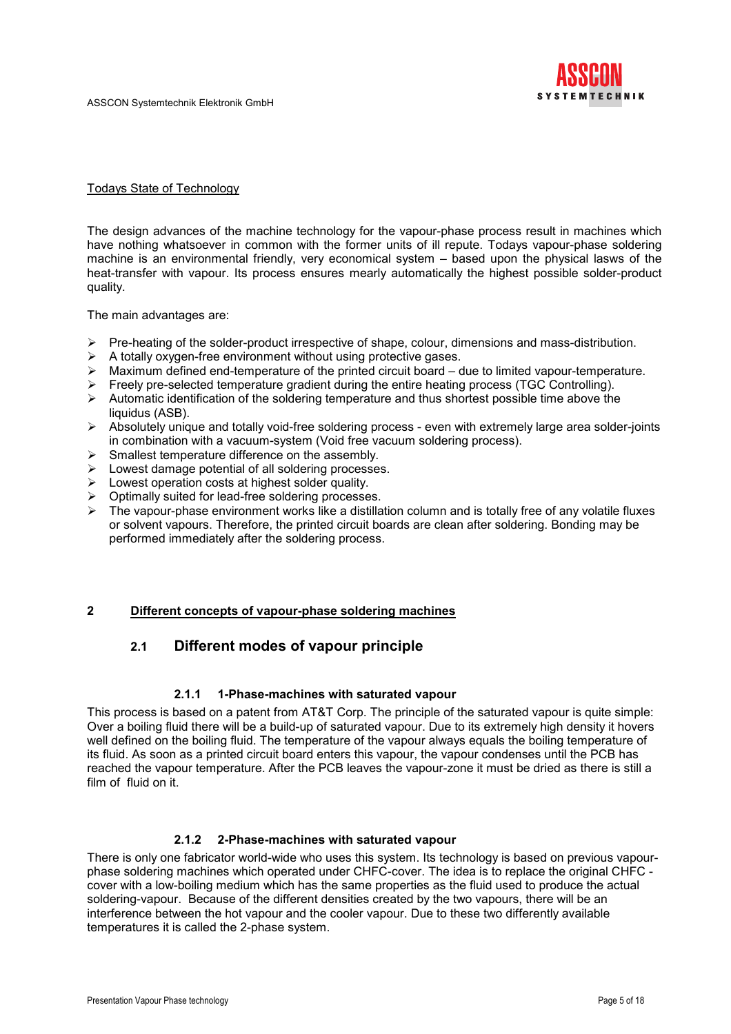

#### Todays State of Technology

The design advances of the machine technology for the vapour-phase process result in machines which have nothing whatsoever in common with the former units of ill repute. Todays vapour-phase soldering machine is an environmental friendly, very economical system – based upon the physical lasws of the heat-transfer with vapour. Its process ensures mearly automatically the highest possible solder-product quality.

The main advantages are:

- $\triangleright$  Pre-heating of the solder-product irrespective of shape, colour, dimensions and mass-distribution.
- $\triangleright$  A totally oxygen-free environment without using protective gases.
- $\triangleright$  Maximum defined end-temperature of the printed circuit board due to limited vapour-temperature.
- $\triangleright$  Freely pre-selected temperature gradient during the entire heating process (TGC Controlling).
- $\triangleright$  Automatic identification of the soldering temperature and thus shortest possible time above the liquidus (ASB).
- $\triangleright$  Absolutely unique and totally void-free soldering process even with extremely large area solder-joints in combination with a vacuum-system (Void free vacuum soldering process).
- $\triangleright$  Smallest temperature difference on the assembly.
- $\triangleright$  Lowest damage potential of all soldering processes.
- $\triangleright$  Lowest operation costs at highest solder quality.
- Optimally suited for lead-free soldering processes.
- $\triangleright$  The vapour-phase environment works like a distillation column and is totally free of any volatile fluxes or solvent vapours. Therefore, the printed circuit boards are clean after soldering. Bonding may be performed immediately after the soldering process.

#### 2 Different concepts of vapour-phase soldering machines

# 2.1 Different modes of vapour principle

#### 2.1.1 1-Phase-machines with saturated vapour

This process is based on a patent from AT&T Corp. The principle of the saturated vapour is quite simple: Over a boiling fluid there will be a build-up of saturated vapour. Due to its extremely high density it hovers well defined on the boiling fluid. The temperature of the vapour always equals the boiling temperature of its fluid. As soon as a printed circuit board enters this vapour, the vapour condenses until the PCB has reached the vapour temperature. After the PCB leaves the vapour-zone it must be dried as there is still a film of fluid on it.

#### 2.1.2 2-Phase-machines with saturated vapour

There is only one fabricator world-wide who uses this system. Its technology is based on previous vapourphase soldering machines which operated under CHFC-cover. The idea is to replace the original CHFC cover with a low-boiling medium which has the same properties as the fluid used to produce the actual soldering-vapour. Because of the different densities created by the two vapours, there will be an interference between the hot vapour and the cooler vapour. Due to these two differently available temperatures it is called the 2-phase system.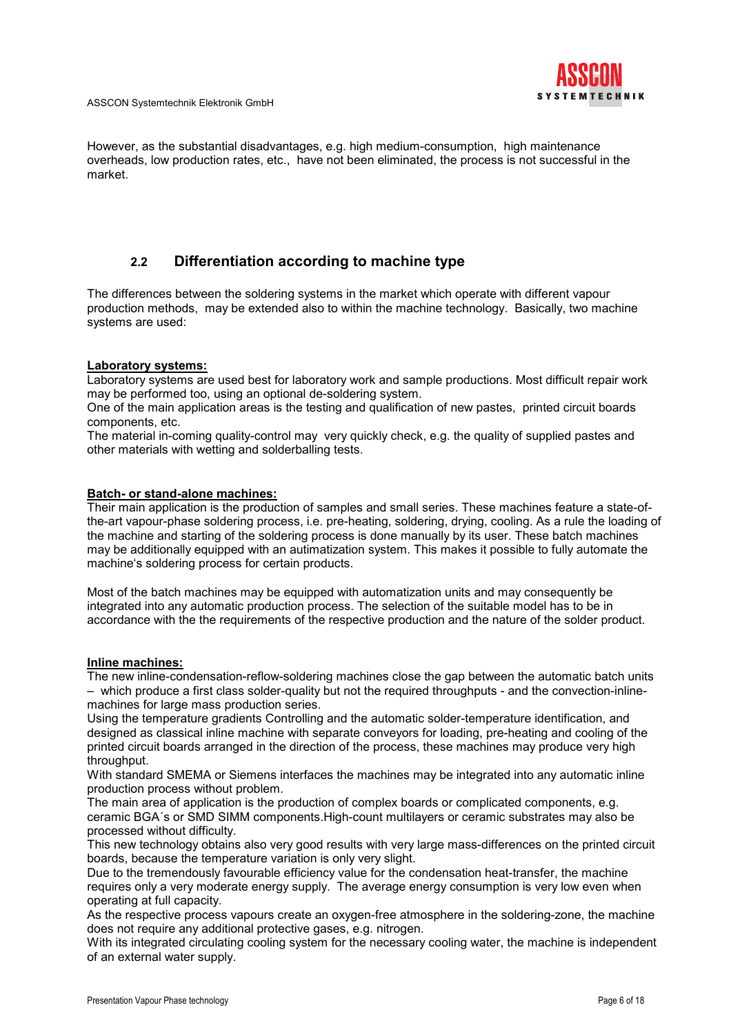

However, as the substantial disadvantages, e.g. high medium-consumption, high maintenance overheads, low production rates, etc., have not been eliminated, the process is not successful in the market.

# 2.2 Differentiation according to machine type

The differences between the soldering systems in the market which operate with different vapour production methods, may be extended also to within the machine technology. Basically, two machine systems are used:

#### Laboratory systems:

Laboratory systems are used best for laboratory work and sample productions. Most difficult repair work may be performed too, using an optional de-soldering system.

One of the main application areas is the testing and qualification of new pastes, printed circuit boards components, etc.

The material in-coming quality-control may very quickly check, e.g. the quality of supplied pastes and other materials with wetting and solderballing tests.

#### Batch- or stand-alone machines:

Their main application is the production of samples and small series. These machines feature a state-ofthe-art vapour-phase soldering process, i.e. pre-heating, soldering, drying, cooling. As a rule the loading of the machine and starting of the soldering process is done manually by its user. These batch machines may be additionally equipped with an autimatization system. This makes it possible to fully automate the machine's soldering process for certain products.

Most of the batch machines may be equipped with automatization units and may consequently be integrated into any automatic production process. The selection of the suitable model has to be in accordance with the the requirements of the respective production and the nature of the solder product.

#### Inline machines:

The new inline-condensation-reflow-soldering machines close the gap between the automatic batch units – which produce a first class solder-quality but not the required throughputs - and the convection-inlinemachines for large mass production series.

Using the temperature gradients Controlling and the automatic solder-temperature identification, and designed as classical inline machine with separate conveyors for loading, pre-heating and cooling of the printed circuit boards arranged in the direction of the process, these machines may produce very high throughput.

With standard SMEMA or Siemens interfaces the machines may be integrated into any automatic inline production process without problem.

The main area of application is the production of complex boards or complicated components, e.g. ceramic BGA´s or SMD SIMM components.High-count multilayers or ceramic substrates may also be processed without difficulty.

This new technology obtains also very good results with very large mass-differences on the printed circuit boards, because the temperature variation is only very slight.

Due to the tremendously favourable efficiency value for the condensation heat-transfer, the machine requires only a very moderate energy supply. The average energy consumption is very low even when operating at full capacity.

As the respective process vapours create an oxygen-free atmosphere in the soldering-zone, the machine does not require any additional protective gases, e.g. nitrogen.

With its integrated circulating cooling system for the necessary cooling water, the machine is independent of an external water supply.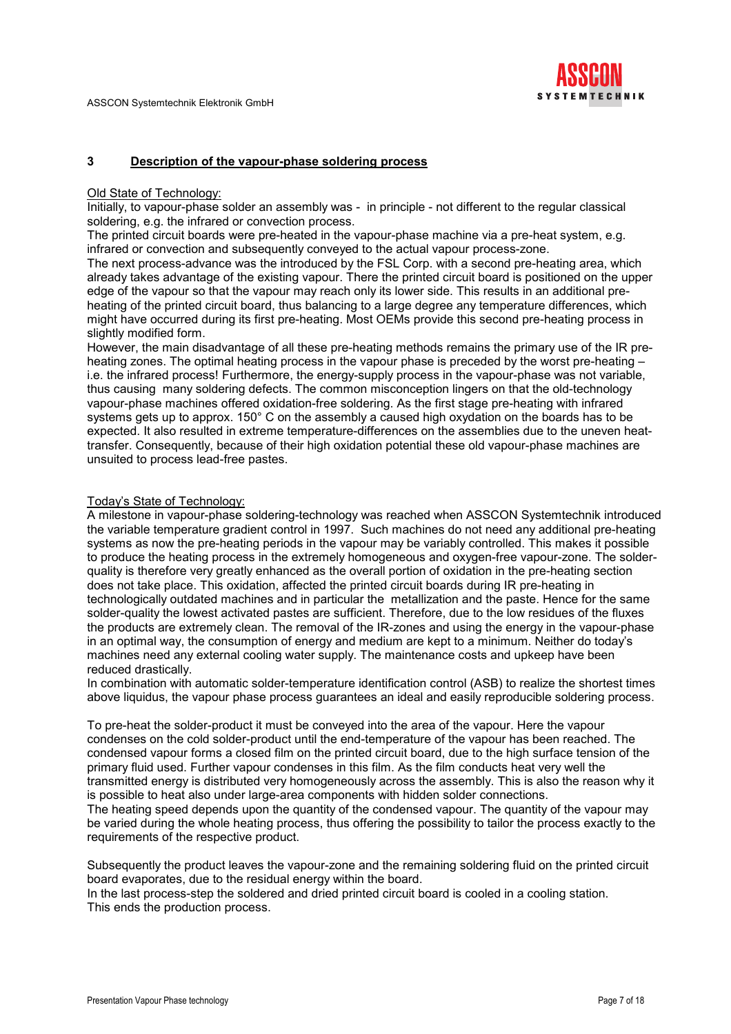

#### 3 Description of the vapour-phase soldering process

#### Old State of Technology:

Initially, to vapour-phase solder an assembly was - in principle - not different to the regular classical soldering, e.g. the infrared or convection process.

The printed circuit boards were pre-heated in the vapour-phase machine via a pre-heat system, e.g. infrared or convection and subsequently conveyed to the actual vapour process-zone.

The next process-advance was the introduced by the FSL Corp. with a second pre-heating area, which already takes advantage of the existing vapour. There the printed circuit board is positioned on the upper edge of the vapour so that the vapour may reach only its lower side. This results in an additional preheating of the printed circuit board, thus balancing to a large degree any temperature differences, which might have occurred during its first pre-heating. Most OEMs provide this second pre-heating process in slightly modified form.

However, the main disadvantage of all these pre-heating methods remains the primary use of the IR preheating zones. The optimal heating process in the vapour phase is preceded by the worst pre-heating – i.e. the infrared process! Furthermore, the energy-supply process in the vapour-phase was not variable, thus causing many soldering defects. The common misconception lingers on that the old-technology vapour-phase machines offered oxidation-free soldering. As the first stage pre-heating with infrared systems gets up to approx. 150° C on the assembly a caused high oxydation on the boards has to be expected. It also resulted in extreme temperature-differences on the assemblies due to the uneven heattransfer. Consequently, because of their high oxidation potential these old vapour-phase machines are unsuited to process lead-free pastes.

#### Today's State of Technology:

A milestone in vapour-phase soldering-technology was reached when ASSCON Systemtechnik introduced the variable temperature gradient control in 1997. Such machines do not need any additional pre-heating systems as now the pre-heating periods in the vapour may be variably controlled. This makes it possible to produce the heating process in the extremely homogeneous and oxygen-free vapour-zone. The solderquality is therefore very greatly enhanced as the overall portion of oxidation in the pre-heating section does not take place. This oxidation, affected the printed circuit boards during IR pre-heating in technologically outdated machines and in particular the metallization and the paste. Hence for the same solder-quality the lowest activated pastes are sufficient. Therefore, due to the low residues of the fluxes the products are extremely clean. The removal of the IR-zones and using the energy in the vapour-phase in an optimal way, the consumption of energy and medium are kept to a minimum. Neither do today's machines need any external cooling water supply. The maintenance costs and upkeep have been reduced drastically.

In combination with automatic solder-temperature identification control (ASB) to realize the shortest times above liquidus, the vapour phase process guarantees an ideal and easily reproducible soldering process.

To pre-heat the solder-product it must be conveyed into the area of the vapour. Here the vapour condenses on the cold solder-product until the end-temperature of the vapour has been reached. The condensed vapour forms a closed film on the printed circuit board, due to the high surface tension of the primary fluid used. Further vapour condenses in this film. As the film conducts heat very well the transmitted energy is distributed very homogeneously across the assembly. This is also the reason why it is possible to heat also under large-area components with hidden solder connections.

The heating speed depends upon the quantity of the condensed vapour. The quantity of the vapour may be varied during the whole heating process, thus offering the possibility to tailor the process exactly to the requirements of the respective product.

Subsequently the product leaves the vapour-zone and the remaining soldering fluid on the printed circuit board evaporates, due to the residual energy within the board.

In the last process-step the soldered and dried printed circuit board is cooled in a cooling station. This ends the production process.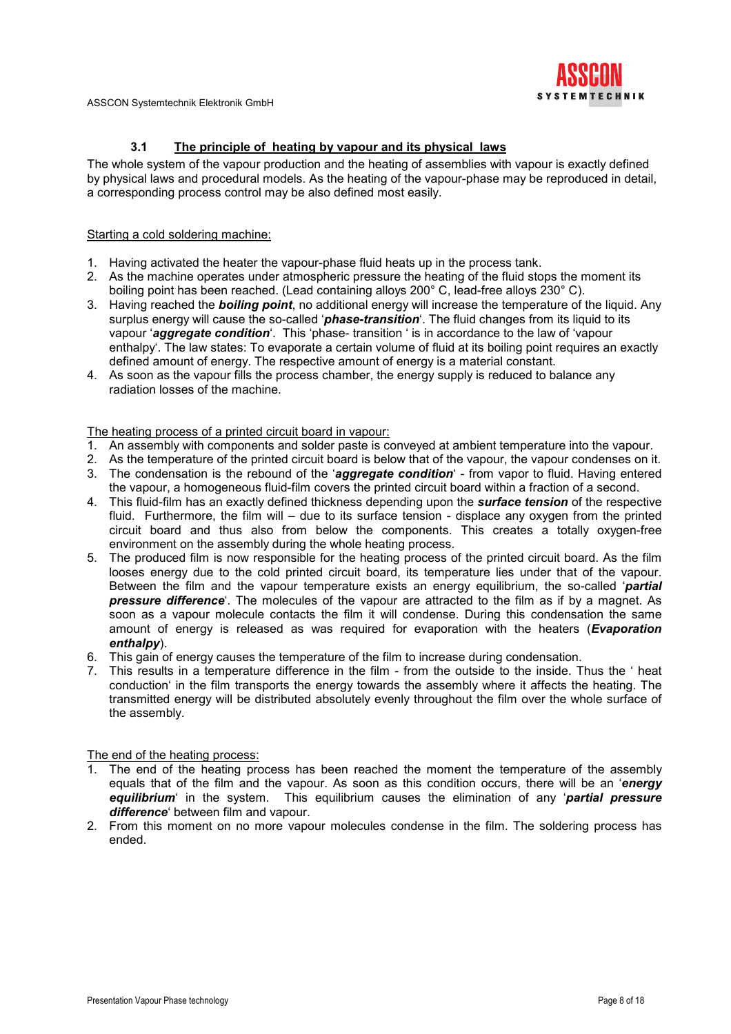

# 3.1 The principle of heating by vapour and its physical laws

The whole system of the vapour production and the heating of assemblies with vapour is exactly defined by physical laws and procedural models. As the heating of the vapour-phase may be reproduced in detail, a corresponding process control may be also defined most easily.

# Starting a cold soldering machine:

- 1. Having activated the heater the vapour-phase fluid heats up in the process tank.
- 2. As the machine operates under atmospheric pressure the heating of the fluid stops the moment its boiling point has been reached. (Lead containing alloys 200° C, lead-free alloys 230° C).
- 3. Having reached the **boiling point**, no additional energy will increase the temperature of the liquid. Any surplus energy will cause the so-called '*phase-transition*'. The fluid changes from its liquid to its vapour 'aggregate condition'. This 'phase- transition ' is in accordance to the law of 'vapour enthalpy'. The law states: To evaporate a certain volume of fluid at its boiling point requires an exactly defined amount of energy. The respective amount of energy is a material constant.
- 4. As soon as the vapour fills the process chamber, the energy supply is reduced to balance any radiation losses of the machine.

#### The heating process of a printed circuit board in vapour:

- 1. An assembly with components and solder paste is conveyed at ambient temperature into the vapour.
- 2. As the temperature of the printed circuit board is below that of the vapour, the vapour condenses on it.
- 3. The condensation is the rebound of the 'aggregate condition' from vapor to fluid. Having entered the vapour, a homogeneous fluid-film covers the printed circuit board within a fraction of a second.
- 4. This fluid-film has an exactly defined thickness depending upon the **surface tension** of the respective fluid. Furthermore, the film will – due to its surface tension - displace any oxygen from the printed circuit board and thus also from below the components. This creates a totally oxygen-free environment on the assembly during the whole heating process.
- 5. The produced film is now responsible for the heating process of the printed circuit board. As the film looses energy due to the cold printed circuit board, its temperature lies under that of the vapour. Between the film and the vapour temperature exists an energy equilibrium, the so-called 'partial pressure difference. The molecules of the vapour are attracted to the film as if by a magnet. As soon as a vapour molecule contacts the film it will condense. During this condensation the same amount of energy is released as was required for evaporation with the heaters (**Evaporation** enthalpy).
- 6. This gain of energy causes the temperature of the film to increase during condensation.
- 7. This results in a temperature difference in the film from the outside to the inside. Thus the ' heat conduction' in the film transports the energy towards the assembly where it affects the heating. The transmitted energy will be distributed absolutely evenly throughout the film over the whole surface of the assembly.

# The end of the heating process:

- 1. The end of the heating process has been reached the moment the temperature of the assembly equals that of the film and the vapour. As soon as this condition occurs, there will be an 'energy equilibrium' in the system. This equilibrium causes the elimination of any 'partial pressure difference' between film and vapour.
- 2. From this moment on no more vapour molecules condense in the film. The soldering process has ended.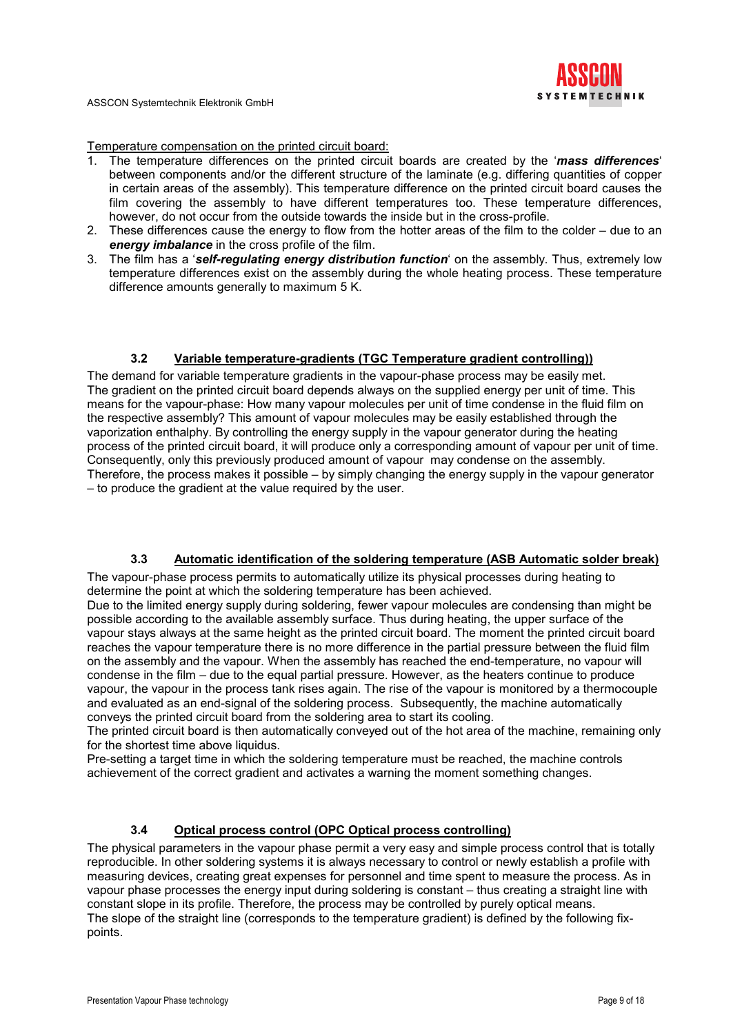

Temperature compensation on the printed circuit board:

- 1. The temperature differences on the printed circuit boards are created by the 'mass differences' between components and/or the different structure of the laminate (e.g. differing quantities of copper in certain areas of the assembly). This temperature difference on the printed circuit board causes the film covering the assembly to have different temperatures too. These temperature differences, however, do not occur from the outside towards the inside but in the cross-profile.
- 2. These differences cause the energy to flow from the hotter areas of the film to the colder due to an energy *imbalance* in the cross profile of the film.
- 3. The film has a 'self-regulating energy distribution function' on the assembly. Thus, extremely low temperature differences exist on the assembly during the whole heating process. These temperature difference amounts generally to maximum 5 K.

#### 3.2 Variable temperature-gradients (TGC Temperature gradient controlling))

The demand for variable temperature gradients in the vapour-phase process may be easily met. The gradient on the printed circuit board depends always on the supplied energy per unit of time. This means for the vapour-phase: How many vapour molecules per unit of time condense in the fluid film on the respective assembly? This amount of vapour molecules may be easily established through the vaporization enthalphy. By controlling the energy supply in the vapour generator during the heating process of the printed circuit board, it will produce only a corresponding amount of vapour per unit of time. Consequently, only this previously produced amount of vapour may condense on the assembly. Therefore, the process makes it possible – by simply changing the energy supply in the vapour generator – to produce the gradient at the value required by the user.

#### 3.3 Automatic identification of the soldering temperature (ASB Automatic solder break)

The vapour-phase process permits to automatically utilize its physical processes during heating to determine the point at which the soldering temperature has been achieved.

Due to the limited energy supply during soldering, fewer vapour molecules are condensing than might be possible according to the available assembly surface. Thus during heating, the upper surface of the vapour stays always at the same height as the printed circuit board. The moment the printed circuit board reaches the vapour temperature there is no more difference in the partial pressure between the fluid film on the assembly and the vapour. When the assembly has reached the end-temperature, no vapour will condense in the film – due to the equal partial pressure. However, as the heaters continue to produce vapour, the vapour in the process tank rises again. The rise of the vapour is monitored by a thermocouple and evaluated as an end-signal of the soldering process. Subsequently, the machine automatically conveys the printed circuit board from the soldering area to start its cooling.

The printed circuit board is then automatically conveyed out of the hot area of the machine, remaining only for the shortest time above liquidus.

Pre-setting a target time in which the soldering temperature must be reached, the machine controls achievement of the correct gradient and activates a warning the moment something changes.

#### 3.4 Optical process control (OPC Optical process controlling)

The physical parameters in the vapour phase permit a very easy and simple process control that is totally reproducible. In other soldering systems it is always necessary to control or newly establish a profile with measuring devices, creating great expenses for personnel and time spent to measure the process. As in vapour phase processes the energy input during soldering is constant – thus creating a straight line with constant slope in its profile. Therefore, the process may be controlled by purely optical means. The slope of the straight line (corresponds to the temperature gradient) is defined by the following fixpoints.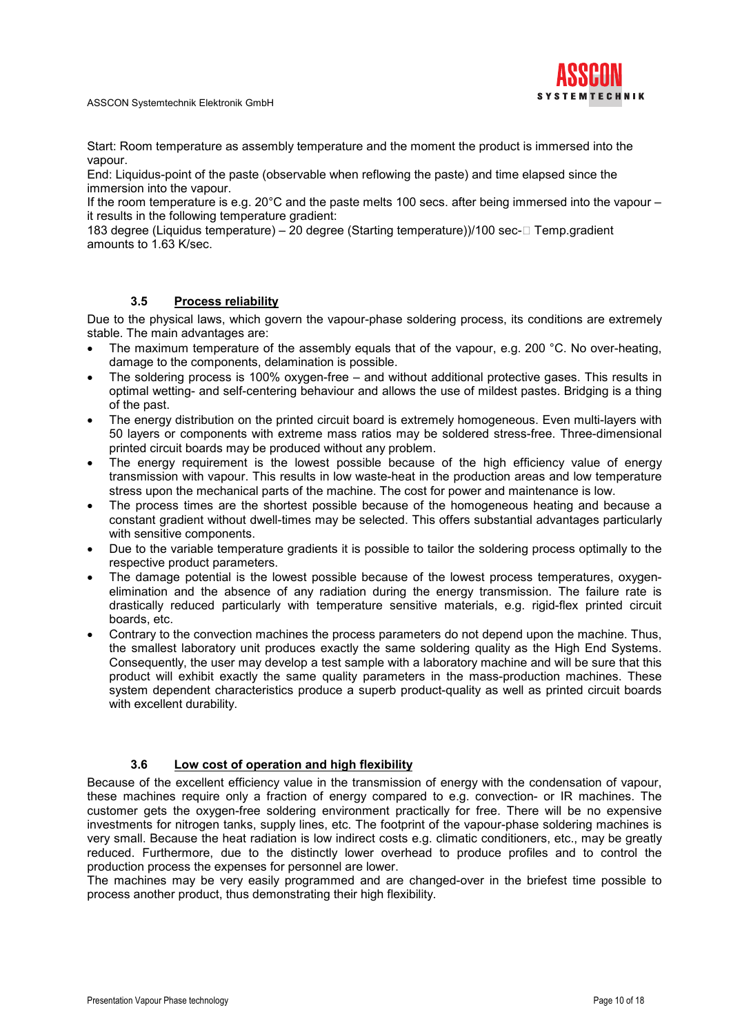

Start: Room temperature as assembly temperature and the moment the product is immersed into the vapour.

End: Liquidus-point of the paste (observable when reflowing the paste) and time elapsed since the immersion into the vapour.

If the room temperature is e.g. 20°C and the paste melts 100 secs. after being immersed into the vapour – it results in the following temperature gradient:

183 degree (Liquidus temperature) – 20 degree (Starting temperature))/100 sec-Q Temp.gradient amounts to 1.63 K/sec.

# 3.5 Process reliability

Due to the physical laws, which govern the vapour-phase soldering process, its conditions are extremely stable. The main advantages are:

- The maximum temperature of the assembly equals that of the vapour, e.g. 200 °C. No over-heating, damage to the components, delamination is possible.
- The soldering process is 100% oxygen-free and without additional protective gases. This results in optimal wetting- and self-centering behaviour and allows the use of mildest pastes. Bridging is a thing of the past.
- The energy distribution on the printed circuit board is extremely homogeneous. Even multi-layers with 50 layers or components with extreme mass ratios may be soldered stress-free. Three-dimensional printed circuit boards may be produced without any problem.
- The energy requirement is the lowest possible because of the high efficiency value of energy transmission with vapour. This results in low waste-heat in the production areas and low temperature stress upon the mechanical parts of the machine. The cost for power and maintenance is low.
- The process times are the shortest possible because of the homogeneous heating and because a constant gradient without dwell-times may be selected. This offers substantial advantages particularly with sensitive components.
- Due to the variable temperature gradients it is possible to tailor the soldering process optimally to the respective product parameters.
- The damage potential is the lowest possible because of the lowest process temperatures, oxygenelimination and the absence of any radiation during the energy transmission. The failure rate is drastically reduced particularly with temperature sensitive materials, e.g. rigid-flex printed circuit boards, etc.
- Contrary to the convection machines the process parameters do not depend upon the machine. Thus, the smallest laboratory unit produces exactly the same soldering quality as the High End Systems. Consequently, the user may develop a test sample with a laboratory machine and will be sure that this product will exhibit exactly the same quality parameters in the mass-production machines. These system dependent characteristics produce a superb product-quality as well as printed circuit boards with excellent durability.

# 3.6 Low cost of operation and high flexibility

Because of the excellent efficiency value in the transmission of energy with the condensation of vapour, these machines require only a fraction of energy compared to e.g. convection- or IR machines. The customer gets the oxygen-free soldering environment practically for free. There will be no expensive investments for nitrogen tanks, supply lines, etc. The footprint of the vapour-phase soldering machines is very small. Because the heat radiation is low indirect costs e.g. climatic conditioners, etc., may be greatly reduced. Furthermore, due to the distinctly lower overhead to produce profiles and to control the production process the expenses for personnel are lower.

The machines may be very easily programmed and are changed-over in the briefest time possible to process another product, thus demonstrating their high flexibility.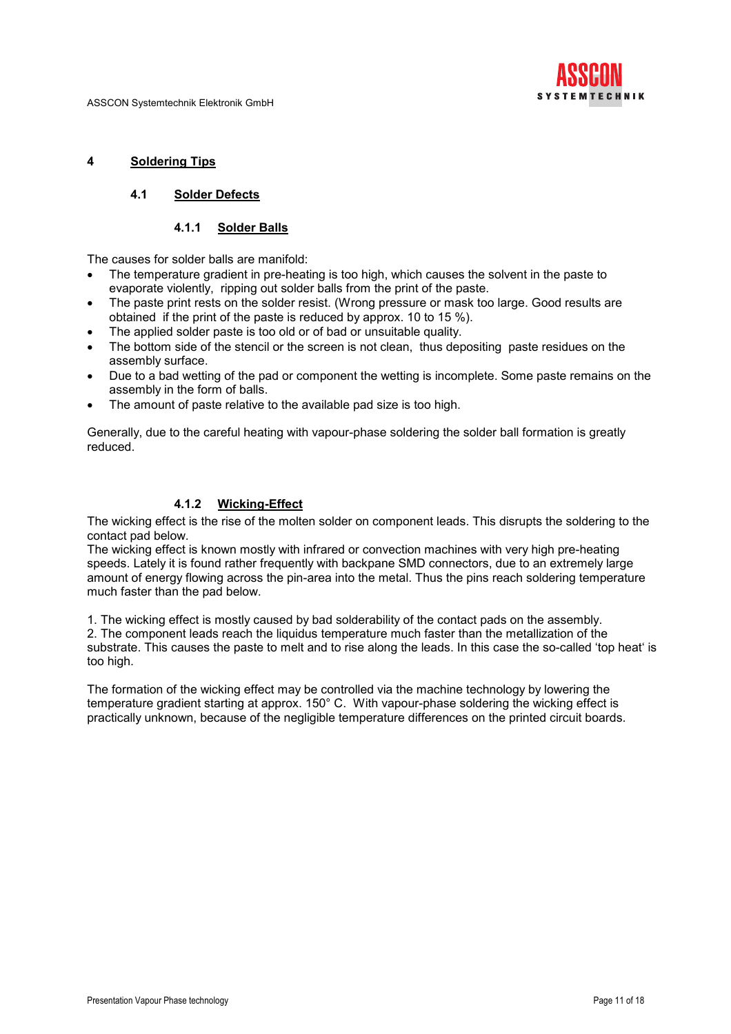

#### 4 Soldering Tips

# 4.1 Solder Defects

#### 4.1.1 Solder Balls

The causes for solder balls are manifold:

- The temperature gradient in pre-heating is too high, which causes the solvent in the paste to evaporate violently, ripping out solder balls from the print of the paste.
- The paste print rests on the solder resist. (Wrong pressure or mask too large. Good results are obtained if the print of the paste is reduced by approx. 10 to 15 %).
- The applied solder paste is too old or of bad or unsuitable quality.
- The bottom side of the stencil or the screen is not clean, thus depositing paste residues on the assembly surface.
- Due to a bad wetting of the pad or component the wetting is incomplete. Some paste remains on the assembly in the form of balls.
- The amount of paste relative to the available pad size is too high.

Generally, due to the careful heating with vapour-phase soldering the solder ball formation is greatly reduced.

# 4.1.2 Wicking-Effect

The wicking effect is the rise of the molten solder on component leads. This disrupts the soldering to the contact pad below.

The wicking effect is known mostly with infrared or convection machines with very high pre-heating speeds. Lately it is found rather frequently with backpane SMD connectors, due to an extremely large amount of energy flowing across the pin-area into the metal. Thus the pins reach soldering temperature much faster than the pad below.

1. The wicking effect is mostly caused by bad solderability of the contact pads on the assembly. 2. The component leads reach the liquidus temperature much faster than the metallization of the substrate. This causes the paste to melt and to rise along the leads. In this case the so-called 'top heat' is too high.

The formation of the wicking effect may be controlled via the machine technology by lowering the temperature gradient starting at approx. 150° C. With vapour-phase soldering the wicking effect is practically unknown, because of the negligible temperature differences on the printed circuit boards.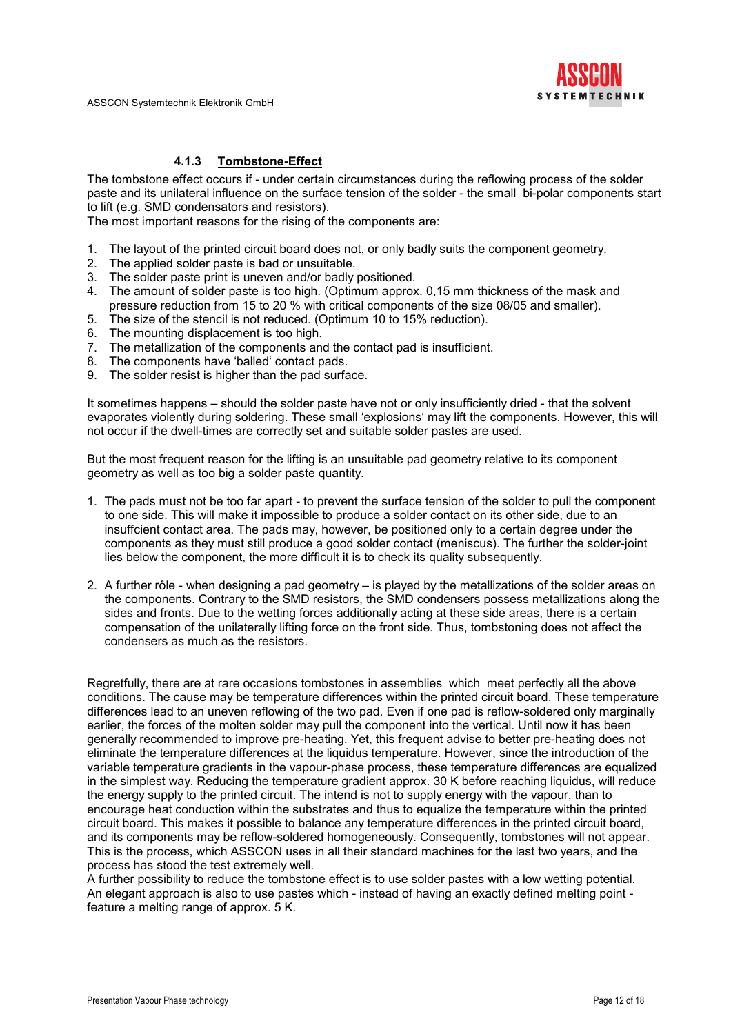

## 4.1.3 Tombstone-Effect

The tombstone effect occurs if - under certain circumstances during the reflowing process of the solder paste and its unilateral influence on the surface tension of the solder - the small bi-polar components start to lift (e.g. SMD condensators and resistors).

The most important reasons for the rising of the components are:

- 1. The layout of the printed circuit board does not, or only badly suits the component geometry.
- 2. The applied solder paste is bad or unsuitable.
- 3. The solder paste print is uneven and/or badly positioned.
- 4. The amount of solder paste is too high. (Optimum approx. 0,15 mm thickness of the mask and pressure reduction from 15 to 20 % with critical components of the size 08/05 and smaller).
- 5. The size of the stencil is not reduced. (Optimum 10 to 15% reduction).
- 6. The mounting displacement is too high.
- 7. The metallization of the components and the contact pad is insufficient.
- 8. The components have 'balled' contact pads.
- 9. The solder resist is higher than the pad surface.

It sometimes happens – should the solder paste have not or only insufficiently dried - that the solvent evaporates violently during soldering. These small 'explosions' may lift the components. However, this will not occur if the dwell-times are correctly set and suitable solder pastes are used.

But the most frequent reason for the lifting is an unsuitable pad geometry relative to its component geometry as well as too big a solder paste quantity.

- 1. The pads must not be too far apart to prevent the surface tension of the solder to pull the component to one side. This will make it impossible to produce a solder contact on its other side, due to an insuffcient contact area. The pads may, however, be positioned only to a certain degree under the components as they must still produce a good solder contact (meniscus). The further the solder-joint lies below the component, the more difficult it is to check its quality subsequently.
- 2. A further rôle when designing a pad geometry is played by the metallizations of the solder areas on the components. Contrary to the SMD resistors, the SMD condensers possess metallizations along the sides and fronts. Due to the wetting forces additionally acting at these side areas, there is a certain compensation of the unilaterally lifting force on the front side. Thus, tombstoning does not affect the condensers as much as the resistors.

Regretfully, there are at rare occasions tombstones in assemblies which meet perfectly all the above conditions. The cause may be temperature differences within the printed circuit board. These temperature differences lead to an uneven reflowing of the two pad. Even if one pad is reflow-soldered only marginally earlier, the forces of the molten solder may pull the component into the vertical. Until now it has been generally recommended to improve pre-heating. Yet, this frequent advise to better pre-heating does not eliminate the temperature differences at the liquidus temperature. However, since the introduction of the variable temperature gradients in the vapour-phase process, these temperature differences are equalized in the simplest way. Reducing the temperature gradient approx. 30 K before reaching liquidus, will reduce the energy supply to the printed circuit. The intend is not to supply energy with the vapour, than to encourage heat conduction within the substrates and thus to equalize the temperature within the printed circuit board. This makes it possible to balance any temperature differences in the printed circuit board, and its components may be reflow-soldered homogeneously. Consequently, tombstones will not appear. This is the process, which ASSCON uses in all their standard machines for the last two years, and the process has stood the test extremely well.

A further possibility to reduce the tombstone effect is to use solder pastes with a low wetting potential. An elegant approach is also to use pastes which - instead of having an exactly defined melting point feature a melting range of approx. 5 K.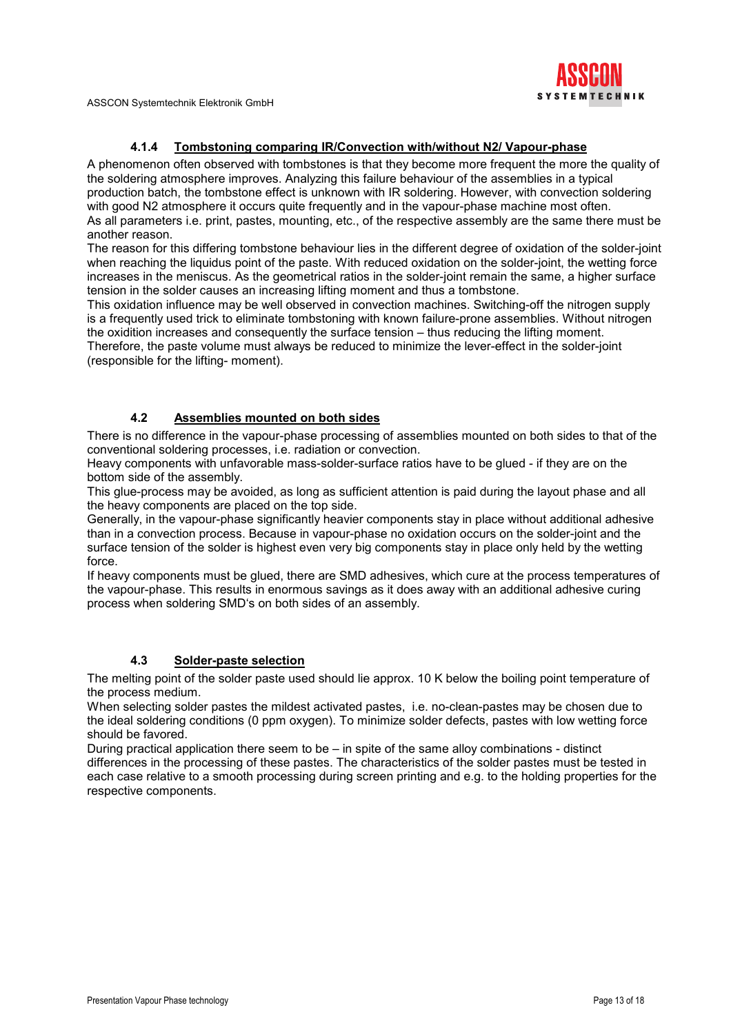

# 4.1.4 Tombstoning comparing IR/Convection with/without N2/ Vapour-phase

A phenomenon often observed with tombstones is that they become more frequent the more the quality of the soldering atmosphere improves. Analyzing this failure behaviour of the assemblies in a typical production batch, the tombstone effect is unknown with IR soldering. However, with convection soldering with good N2 atmosphere it occurs quite frequently and in the vapour-phase machine most often. As all parameters i.e. print, pastes, mounting, etc., of the respective assembly are the same there must be another reason.

The reason for this differing tombstone behaviour lies in the different degree of oxidation of the solder-joint when reaching the liquidus point of the paste. With reduced oxidation on the solder-joint, the wetting force increases in the meniscus. As the geometrical ratios in the solder-joint remain the same, a higher surface tension in the solder causes an increasing lifting moment and thus a tombstone.

This oxidation influence may be well observed in convection machines. Switching-off the nitrogen supply is a frequently used trick to eliminate tombstoning with known failure-prone assemblies. Without nitrogen the oxidition increases and consequently the surface tension – thus reducing the lifting moment. Therefore, the paste volume must always be reduced to minimize the lever-effect in the solder-joint (responsible for the lifting- moment).

# 4.2 Assemblies mounted on both sides

There is no difference in the vapour-phase processing of assemblies mounted on both sides to that of the conventional soldering processes, i.e. radiation or convection.

Heavy components with unfavorable mass-solder-surface ratios have to be glued - if they are on the bottom side of the assembly.

This glue-process may be avoided, as long as sufficient attention is paid during the layout phase and all the heavy components are placed on the top side.

Generally, in the vapour-phase significantly heavier components stay in place without additional adhesive than in a convection process. Because in vapour-phase no oxidation occurs on the solder-joint and the surface tension of the solder is highest even very big components stay in place only held by the wetting force.

If heavy components must be glued, there are SMD adhesives, which cure at the process temperatures of the vapour-phase. This results in enormous savings as it does away with an additional adhesive curing process when soldering SMD's on both sides of an assembly.

# 4.3 Solder-paste selection

The melting point of the solder paste used should lie approx. 10 K below the boiling point temperature of the process medium.

When selecting solder pastes the mildest activated pastes, i.e. no-clean-pastes may be chosen due to the ideal soldering conditions (0 ppm oxygen). To minimize solder defects, pastes with low wetting force should be favored.

During practical application there seem to be – in spite of the same alloy combinations - distinct differences in the processing of these pastes. The characteristics of the solder pastes must be tested in each case relative to a smooth processing during screen printing and e.g. to the holding properties for the respective components.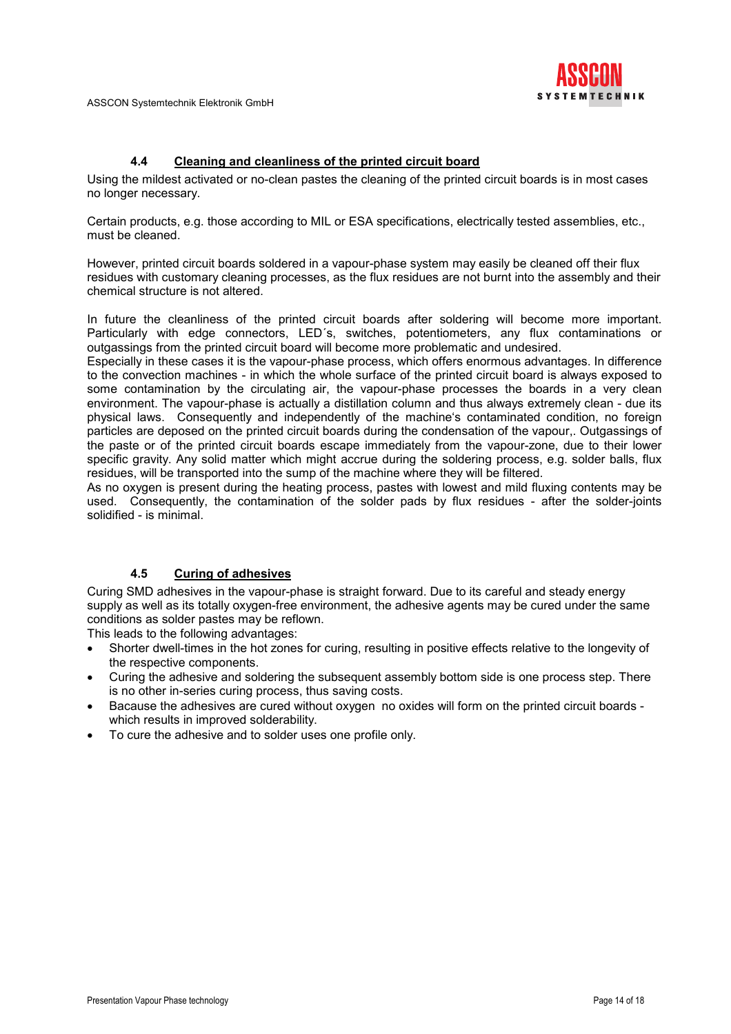

## 4.4 Cleaning and cleanliness of the printed circuit board

Using the mildest activated or no-clean pastes the cleaning of the printed circuit boards is in most cases no longer necessary.

Certain products, e.g. those according to MIL or ESA specifications, electrically tested assemblies, etc., must be cleaned.

However, printed circuit boards soldered in a vapour-phase system may easily be cleaned off their flux residues with customary cleaning processes, as the flux residues are not burnt into the assembly and their chemical structure is not altered.

In future the cleanliness of the printed circuit boards after soldering will become more important. Particularly with edge connectors, LED´s, switches, potentiometers, any flux contaminations or outgassings from the printed circuit board will become more problematic and undesired.

Especially in these cases it is the vapour-phase process, which offers enormous advantages. In difference to the convection machines - in which the whole surface of the printed circuit board is always exposed to some contamination by the circulating air, the vapour-phase processes the boards in a very clean environment. The vapour-phase is actually a distillation column and thus always extremely clean - due its physical laws. Consequently and independently of the machine's contaminated condition, no foreign particles are deposed on the printed circuit boards during the condensation of the vapour,. Outgassings of the paste or of the printed circuit boards escape immediately from the vapour-zone, due to their lower specific gravity. Any solid matter which might accrue during the soldering process, e.g. solder balls, flux residues, will be transported into the sump of the machine where they will be filtered.

As no oxygen is present during the heating process, pastes with lowest and mild fluxing contents may be used. Consequently, the contamination of the solder pads by flux residues - after the solder-joints solidified - is minimal.

# 4.5 Curing of adhesives

Curing SMD adhesives in the vapour-phase is straight forward. Due to its careful and steady energy supply as well as its totally oxygen-free environment, the adhesive agents may be cured under the same conditions as solder pastes may be reflown.

This leads to the following advantages:

- Shorter dwell-times in the hot zones for curing, resulting in positive effects relative to the longevity of the respective components.
- Curing the adhesive and soldering the subsequent assembly bottom side is one process step. There is no other in-series curing process, thus saving costs.
- Bacause the adhesives are cured without oxygen no oxides will form on the printed circuit boards which results in improved solderability.
- To cure the adhesive and to solder uses one profile only.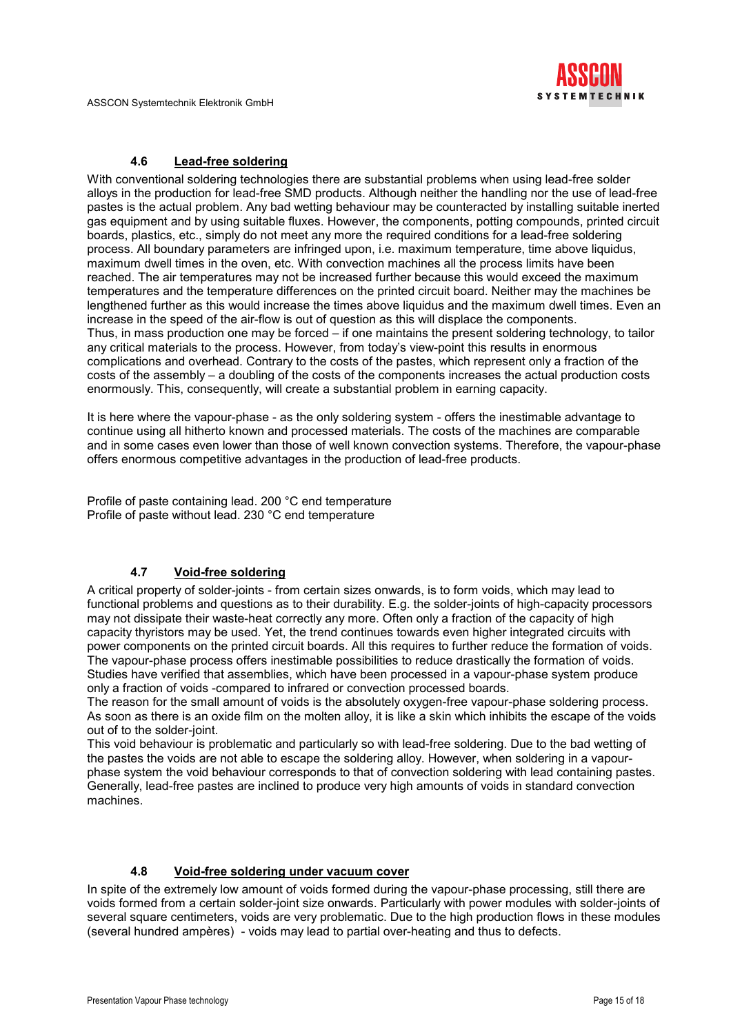

# 4.6 Lead-free soldering

With conventional soldering technologies there are substantial problems when using lead-free solder alloys in the production for lead-free SMD products. Although neither the handling nor the use of lead-free pastes is the actual problem. Any bad wetting behaviour may be counteracted by installing suitable inerted gas equipment and by using suitable fluxes. However, the components, potting compounds, printed circuit boards, plastics, etc., simply do not meet any more the required conditions for a lead-free soldering process. All boundary parameters are infringed upon, i.e. maximum temperature, time above liquidus, maximum dwell times in the oven, etc. With convection machines all the process limits have been reached. The air temperatures may not be increased further because this would exceed the maximum temperatures and the temperature differences on the printed circuit board. Neither may the machines be lengthened further as this would increase the times above liquidus and the maximum dwell times. Even an increase in the speed of the air-flow is out of question as this will displace the components. Thus, in mass production one may be forced – if one maintains the present soldering technology, to tailor any critical materials to the process. However, from today's view-point this results in enormous complications and overhead. Contrary to the costs of the pastes, which represent only a fraction of the costs of the assembly – a doubling of the costs of the components increases the actual production costs enormously. This, consequently, will create a substantial problem in earning capacity.

It is here where the vapour-phase - as the only soldering system - offers the inestimable advantage to continue using all hitherto known and processed materials. The costs of the machines are comparable and in some cases even lower than those of well known convection systems. Therefore, the vapour-phase offers enormous competitive advantages in the production of lead-free products.

Profile of paste containing lead. 200 °C end temperature Profile of paste without lead. 230 °C end temperature

# 4.7 Void-free soldering

A critical property of solder-joints - from certain sizes onwards, is to form voids, which may lead to functional problems and questions as to their durability. E.g. the solder-joints of high-capacity processors may not dissipate their waste-heat correctly any more. Often only a fraction of the capacity of high capacity thyristors may be used. Yet, the trend continues towards even higher integrated circuits with power components on the printed circuit boards. All this requires to further reduce the formation of voids. The vapour-phase process offers inestimable possibilities to reduce drastically the formation of voids. Studies have verified that assemblies, which have been processed in a vapour-phase system produce only a fraction of voids -compared to infrared or convection processed boards.

The reason for the small amount of voids is the absolutely oxygen-free vapour-phase soldering process. As soon as there is an oxide film on the molten alloy, it is like a skin which inhibits the escape of the voids out of to the solder-joint.

This void behaviour is problematic and particularly so with lead-free soldering. Due to the bad wetting of the pastes the voids are not able to escape the soldering alloy. However, when soldering in a vapourphase system the void behaviour corresponds to that of convection soldering with lead containing pastes. Generally, lead-free pastes are inclined to produce very high amounts of voids in standard convection machines.

# 4.8 Void-free soldering under vacuum cover

In spite of the extremely low amount of voids formed during the vapour-phase processing, still there are voids formed from a certain solder-joint size onwards. Particularly with power modules with solder-joints of several square centimeters, voids are very problematic. Due to the high production flows in these modules (several hundred ampères) - voids may lead to partial over-heating and thus to defects.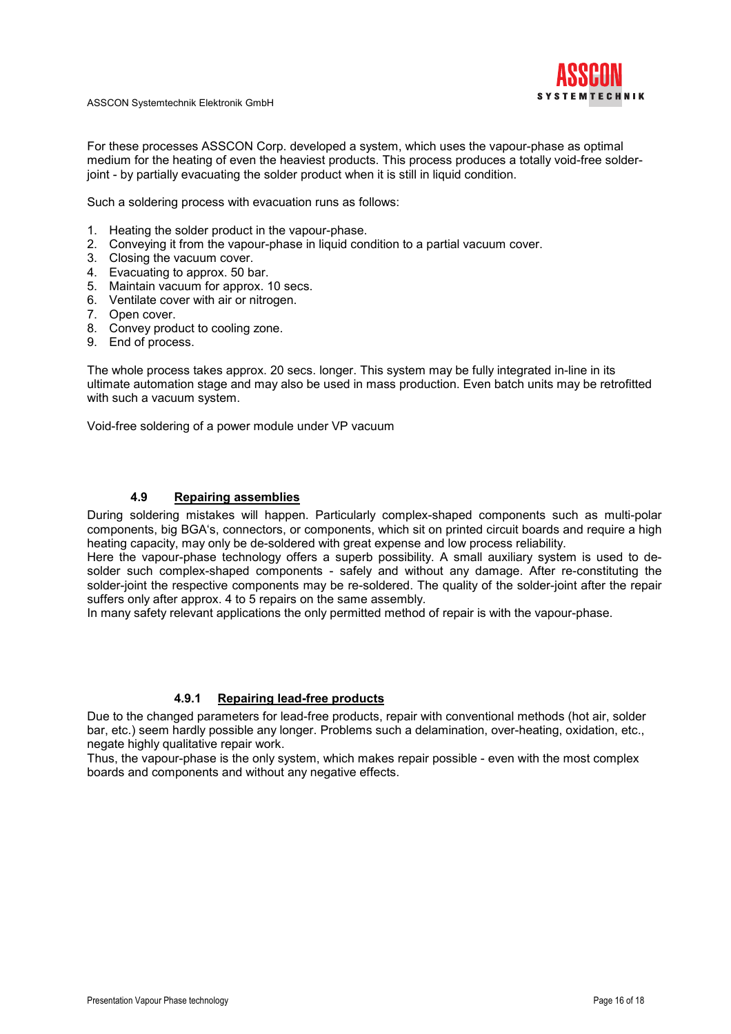

For these processes ASSCON Corp. developed a system, which uses the vapour-phase as optimal medium for the heating of even the heaviest products. This process produces a totally void-free solderjoint - by partially evacuating the solder product when it is still in liquid condition.

Such a soldering process with evacuation runs as follows:

- 1. Heating the solder product in the vapour-phase.
- 2. Conveying it from the vapour-phase in liquid condition to a partial vacuum cover.
- 3. Closing the vacuum cover.
- 4. Evacuating to approx. 50 bar.
- 5. Maintain vacuum for approx. 10 secs.
- 6. Ventilate cover with air or nitrogen.
- 7. Open cover.
- 8. Convey product to cooling zone.
- 9. End of process.

The whole process takes approx. 20 secs. longer. This system may be fully integrated in-line in its ultimate automation stage and may also be used in mass production. Even batch units may be retrofitted with such a vacuum system.

Void-free soldering of a power module under VP vacuum

## 4.9 Repairing assemblies

During soldering mistakes will happen. Particularly complex-shaped components such as multi-polar components, big BGA's, connectors, or components, which sit on printed circuit boards and require a high heating capacity, may only be de-soldered with great expense and low process reliability.

Here the vapour-phase technology offers a superb possibility. A small auxiliary system is used to desolder such complex-shaped components - safely and without any damage. After re-constituting the solder-joint the respective components may be re-soldered. The quality of the solder-joint after the repair suffers only after approx. 4 to 5 repairs on the same assembly.

In many safety relevant applications the only permitted method of repair is with the vapour-phase.

#### 4.9.1 Repairing lead-free products

Due to the changed parameters for lead-free products, repair with conventional methods (hot air, solder bar, etc.) seem hardly possible any longer. Problems such a delamination, over-heating, oxidation, etc., negate highly qualitative repair work.

Thus, the vapour-phase is the only system, which makes repair possible - even with the most complex boards and components and without any negative effects.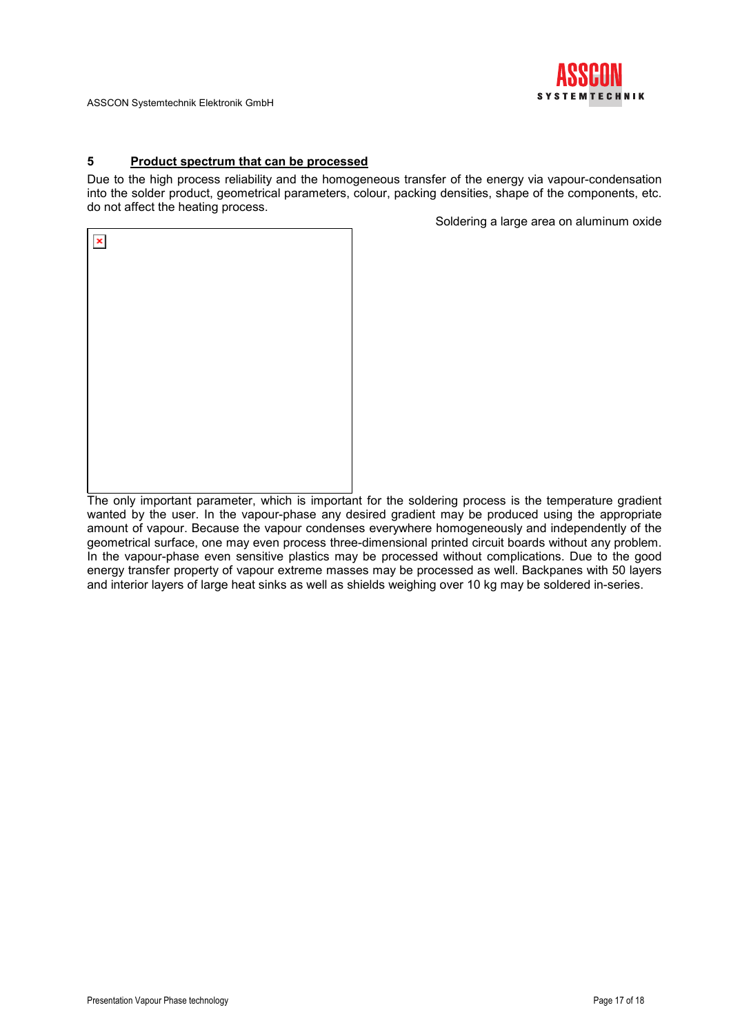

# 5 Product spectrum that can be processed

Due to the high process reliability and the homogeneous transfer of the energy via vapour-condensation into the solder product, geometrical parameters, colour, packing densities, shape of the components, etc. do not affect the heating process.

Soldering a large area on aluminum oxide

| $\pmb{\times}$ |  |  |
|----------------|--|--|
|                |  |  |
|                |  |  |
|                |  |  |
|                |  |  |
|                |  |  |
|                |  |  |
|                |  |  |

The only important parameter, which is important for the soldering process is the temperature gradient wanted by the user. In the vapour-phase any desired gradient may be produced using the appropriate amount of vapour. Because the vapour condenses everywhere homogeneously and independently of the geometrical surface, one may even process three-dimensional printed circuit boards without any problem. In the vapour-phase even sensitive plastics may be processed without complications. Due to the good energy transfer property of vapour extreme masses may be processed as well. Backpanes with 50 layers and interior layers of large heat sinks as well as shields weighing over 10 kg may be soldered in-series.